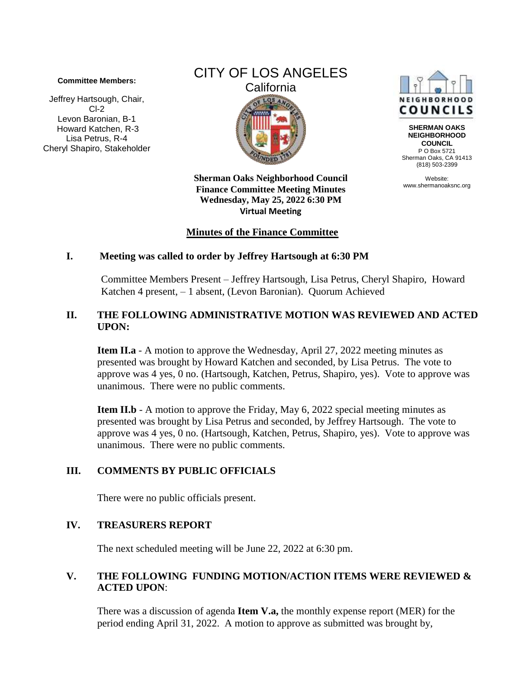#### **Committee Members:**

Jeffrey Hartsough, Chair, Cl-2 Levon Baronian, B-1 Howard Katchen, R-3 Lisa Petrus, R-4 Cheryl Shapiro, Stakeholder



NEIGHBORHO COUNCILS

**SHERMAN OAKS NEIGHBORHOOD COUNCIL** P O Box 5721 Sherman Oaks, CA 91413 (818) 503-2399

Website: www.shermanoaksnc.org

**Sherman Oaks Neighborhood Council Finance Committee Meeting Minutes Wednesday, May 25, 2022 6:30 PM Virtual Meeting** 

#### **Minutes of the Finance Committee**

#### **I. Meeting was called to order by Jeffrey Hartsough at 6:30 PM**

Committee Members Present – Jeffrey Hartsough, Lisa Petrus, Cheryl Shapiro, Howard Katchen 4 present, – 1 absent, (Levon Baronian). Quorum Achieved

# **II. THE FOLLOWING ADMINISTRATIVE MOTION WAS REVIEWED AND ACTED UPON:**

**Item II.a** - A motion to approve the Wednesday, April 27, 2022 meeting minutes as presented was brought by Howard Katchen and seconded, by Lisa Petrus. The vote to approve was 4 yes, 0 no. (Hartsough, Katchen, Petrus, Shapiro, yes). Vote to approve was unanimous. There were no public comments.

**Item II.b** - A motion to approve the Friday, May 6, 2022 special meeting minutes as presented was brought by Lisa Petrus and seconded, by Jeffrey Hartsough. The vote to approve was 4 yes, 0 no. (Hartsough, Katchen, Petrus, Shapiro, yes). Vote to approve was unanimous. There were no public comments.

# **III. COMMENTS BY PUBLIC OFFICIALS**

There were no public officials present.

# **IV. TREASURERS REPORT**

The next scheduled meeting will be June 22, 2022 at 6:30 pm.

# **V. THE FOLLOWING FUNDING MOTION/ACTION ITEMS WERE REVIEWED & ACTED UPON**:

There was a discussion of agenda **Item V.a,** the monthly expense report (MER) for the period ending April 31, 2022. A motion to approve as submitted was brought by,